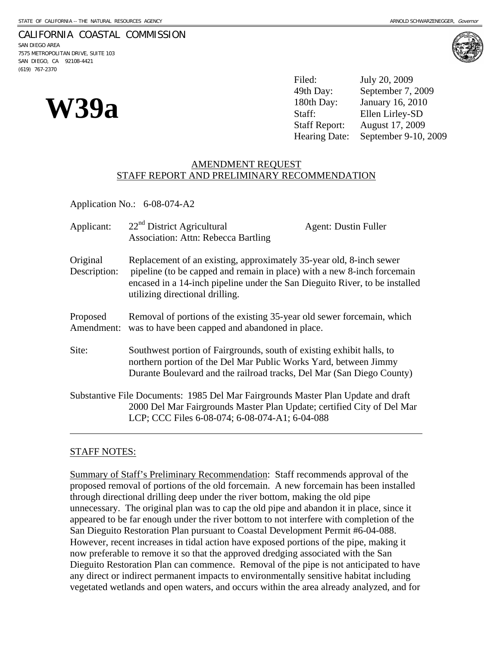## CALIFORNIA COASTAL COMMISSION

SAN DIEGO AREA 7575 METROPOLITAN DRIVE, SUITE 103 SAN DIEGO, CA 92108-4421 (619) 767-2370



**W39a**  $\frac{49th \, \text{Day:}}{\text{Staff:}}$  September 7, 20<br> **Staff:** Ellen Lirley-SD<br>
Staff Report: August 17, 2009 Filed: July 20, 2009 September 7, 2009 January 16, 2010

August 17, 2009

Hearing Date: September 9-10, 2009

## AMENDMENT REQUEST STAFF REPORT AND PRELIMINARY RECOMMENDATION

Application No.: 6-08-074-A2

| Applicant:               | 22 <sup>nd</sup> District Agricultural<br><b>Association: Attn: Rebecca Bartling</b>                                                                                                                                                                             | <b>Agent: Dustin Fuller</b> |
|--------------------------|------------------------------------------------------------------------------------------------------------------------------------------------------------------------------------------------------------------------------------------------------------------|-----------------------------|
| Original<br>Description: | Replacement of an existing, approximately 35-year old, 8-inch sewer<br>pipeline (to be capped and remain in place) with a new 8-inch forcemain<br>encased in a 14-inch pipeline under the San Dieguito River, to be installed<br>utilizing directional drilling. |                             |
| Proposed<br>Amendment:   | Removal of portions of the existing 35-year old sewer forcemain, which<br>was to have been capped and abandoned in place.                                                                                                                                        |                             |
| Site:                    | Southwest portion of Fairgrounds, south of existing exhibit halls, to<br>northern portion of the Del Mar Public Works Yard, between Jimmy<br>Durante Boulevard and the railroad tracks, Del Mar (San Diego County)                                               |                             |
|                          | Substantive File Documents: 1985 Del Mar Fairgrounds Master Plan Update and draft<br>2000 Del Mar Fairgrounds Master Plan Update; certified City of Del Mar<br>LCP; CCC Files 6-08-074; 6-08-074-A1; 6-04-088                                                    |                             |

# STAFF NOTES:

Summary of Staff's Preliminary Recommendation: Staff recommends approval of the proposed removal of portions of the old forcemain. A new forcemain has been installed through directional drilling deep under the river bottom, making the old pipe unnecessary. The original plan was to cap the old pipe and abandon it in place, since it appeared to be far enough under the river bottom to not interfere with completion of the San Dieguito Restoration Plan pursuant to Coastal Development Permit #6-04-088. However, recent increases in tidal action have exposed portions of the pipe, making it now preferable to remove it so that the approved dredging associated with the San Dieguito Restoration Plan can commence. Removal of the pipe is not anticipated to have any direct or indirect permanent impacts to environmentally sensitive habitat including vegetated wetlands and open waters, and occurs within the area already analyzed, and for

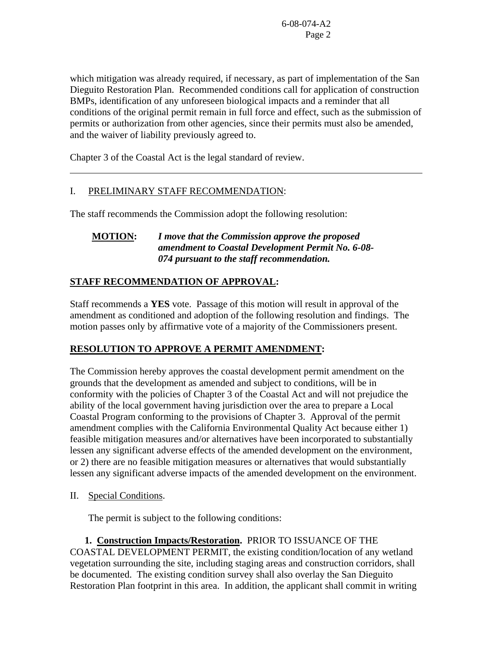which mitigation was already required, if necessary, as part of implementation of the San Dieguito Restoration Plan. Recommended conditions call for application of construction BMPs, identification of any unforeseen biological impacts and a reminder that all conditions of the original permit remain in full force and effect, such as the submission of permits or authorization from other agencies, since their permits must also be amended, and the waiver of liability previously agreed to.

Chapter 3 of the Coastal Act is the legal standard of review.

# I. PRELIMINARY STAFF RECOMMENDATION:

The staff recommends the Commission adopt the following resolution:

# **MOTION:** *I move that the Commission approve the proposed amendment to Coastal Development Permit No. 6-08- 074 pursuant to the staff recommendation.*

# **STAFF RECOMMENDATION OF APPROVAL:**

Staff recommends a **YES** vote. Passage of this motion will result in approval of the amendment as conditioned and adoption of the following resolution and findings. The motion passes only by affirmative vote of a majority of the Commissioners present.

# **RESOLUTION TO APPROVE A PERMIT AMENDMENT:**

The Commission hereby approves the coastal development permit amendment on the grounds that the development as amended and subject to conditions, will be in conformity with the policies of Chapter 3 of the Coastal Act and will not prejudice the ability of the local government having jurisdiction over the area to prepare a Local Coastal Program conforming to the provisions of Chapter 3. Approval of the permit amendment complies with the California Environmental Quality Act because either 1) feasible mitigation measures and/or alternatives have been incorporated to substantially lessen any significant adverse effects of the amended development on the environment, or 2) there are no feasible mitigation measures or alternatives that would substantially lessen any significant adverse impacts of the amended development on the environment.

II. Special Conditions.

 $\overline{a}$ 

The permit is subject to the following conditions:

 **1. Construction Impacts/Restoration.** PRIOR TO ISSUANCE OF THE COASTAL DEVELOPMENT PERMIT, the existing condition/location of any wetland vegetation surrounding the site, including staging areas and construction corridors, shall be documented. The existing condition survey shall also overlay the San Dieguito Restoration Plan footprint in this area. In addition, the applicant shall commit in writing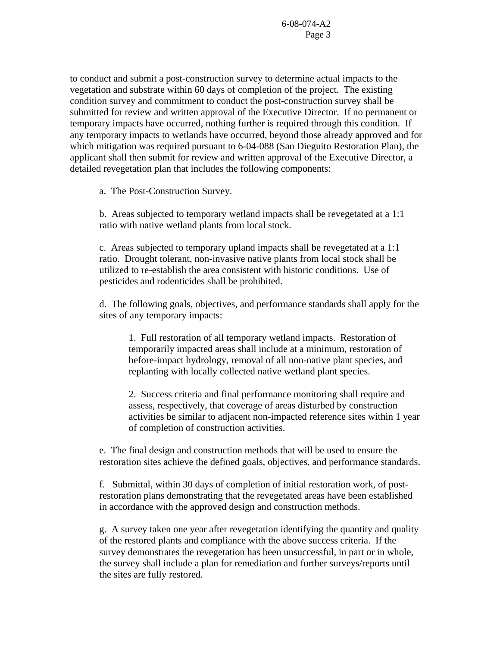to conduct and submit a post-construction survey to determine actual impacts to the vegetation and substrate within 60 days of completion of the project. The existing condition survey and commitment to conduct the post-construction survey shall be submitted for review and written approval of the Executive Director. If no permanent or temporary impacts have occurred, nothing further is required through this condition. If any temporary impacts to wetlands have occurred, beyond those already approved and for which mitigation was required pursuant to 6-04-088 (San Dieguito Restoration Plan), the applicant shall then submit for review and written approval of the Executive Director, a detailed revegetation plan that includes the following components:

a. The Post-Construction Survey.

b. Areas subjected to temporary wetland impacts shall be revegetated at a 1:1 ratio with native wetland plants from local stock.

c. Areas subjected to temporary upland impacts shall be revegetated at a 1:1 ratio. Drought tolerant, non-invasive native plants from local stock shall be utilized to re-establish the area consistent with historic conditions. Use of pesticides and rodenticides shall be prohibited.

d. The following goals, objectives, and performance standards shall apply for the sites of any temporary impacts:

1. Full restoration of all temporary wetland impacts. Restoration of temporarily impacted areas shall include at a minimum, restoration of before-impact hydrology, removal of all non-native plant species, and replanting with locally collected native wetland plant species.

2. Success criteria and final performance monitoring shall require and assess, respectively, that coverage of areas disturbed by construction activities be similar to adjacent non-impacted reference sites within 1 year of completion of construction activities.

e. The final design and construction methods that will be used to ensure the restoration sites achieve the defined goals, objectives, and performance standards.

f. Submittal, within 30 days of completion of initial restoration work, of postrestoration plans demonstrating that the revegetated areas have been established in accordance with the approved design and construction methods.

g. A survey taken one year after revegetation identifying the quantity and quality of the restored plants and compliance with the above success criteria. If the survey demonstrates the revegetation has been unsuccessful, in part or in whole, the survey shall include a plan for remediation and further surveys/reports until the sites are fully restored.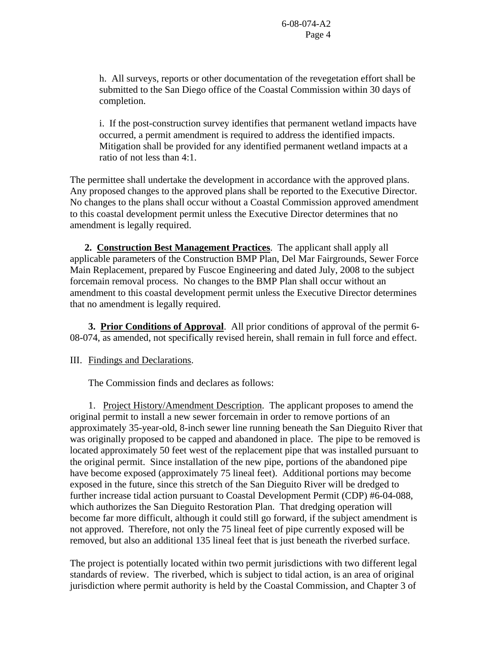h. All surveys, reports or other documentation of the revegetation effort shall be submitted to the San Diego office of the Coastal Commission within 30 days of completion.

i. If the post-construction survey identifies that permanent wetland impacts have occurred, a permit amendment is required to address the identified impacts. Mitigation shall be provided for any identified permanent wetland impacts at a ratio of not less than 4:1.

The permittee shall undertake the development in accordance with the approved plans. Any proposed changes to the approved plans shall be reported to the Executive Director. No changes to the plans shall occur without a Coastal Commission approved amendment to this coastal development permit unless the Executive Director determines that no amendment is legally required.

 **2. Construction Best Management Practices**. The applicant shall apply all applicable parameters of the Construction BMP Plan, Del Mar Fairgrounds, Sewer Force Main Replacement, prepared by Fuscoe Engineering and dated July, 2008 to the subject forcemain removal process. No changes to the BMP Plan shall occur without an amendment to this coastal development permit unless the Executive Director determines that no amendment is legally required.

 **3. Prior Conditions of Approval**. All prior conditions of approval of the permit 6- 08-074, as amended, not specifically revised herein, shall remain in full force and effect.

III. Findings and Declarations.

The Commission finds and declares as follows:

 1. Project History/Amendment Description. The applicant proposes to amend the original permit to install a new sewer forcemain in order to remove portions of an approximately 35-year-old, 8-inch sewer line running beneath the San Dieguito River that was originally proposed to be capped and abandoned in place. The pipe to be removed is located approximately 50 feet west of the replacement pipe that was installed pursuant to the original permit. Since installation of the new pipe, portions of the abandoned pipe have become exposed (approximately 75 lineal feet). Additional portions may become exposed in the future, since this stretch of the San Dieguito River will be dredged to further increase tidal action pursuant to Coastal Development Permit (CDP) #6-04-088, which authorizes the San Dieguito Restoration Plan. That dredging operation will become far more difficult, although it could still go forward, if the subject amendment is not approved. Therefore, not only the 75 lineal feet of pipe currently exposed will be removed, but also an additional 135 lineal feet that is just beneath the riverbed surface.

The project is potentially located within two permit jurisdictions with two different legal standards of review. The riverbed, which is subject to tidal action, is an area of original jurisdiction where permit authority is held by the Coastal Commission, and Chapter 3 of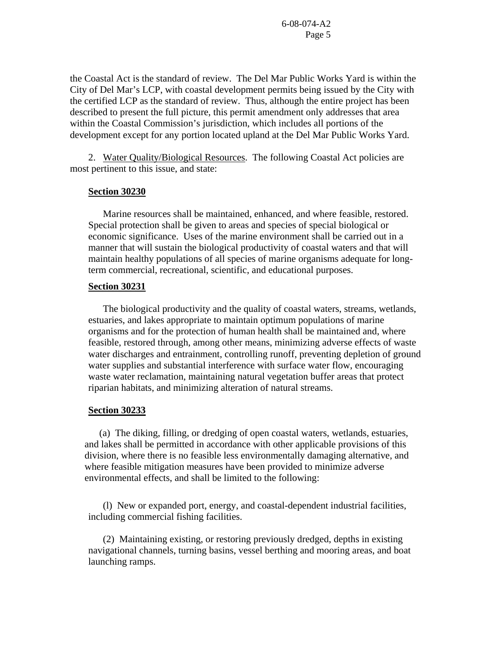the Coastal Act is the standard of review. The Del Mar Public Works Yard is within the City of Del Mar's LCP, with coastal development permits being issued by the City with the certified LCP as the standard of review. Thus, although the entire project has been described to present the full picture, this permit amendment only addresses that area within the Coastal Commission's jurisdiction, which includes all portions of the development except for any portion located upland at the Del Mar Public Works Yard.

 2. Water Quality/Biological Resources. The following Coastal Act policies are most pertinent to this issue, and state:

#### **Section 30230**

 Marine resources shall be maintained, enhanced, and where feasible, restored. Special protection shall be given to areas and species of special biological or economic significance. Uses of the marine environment shall be carried out in a manner that will sustain the biological productivity of coastal waters and that will maintain healthy populations of all species of marine organisms adequate for longterm commercial, recreational, scientific, and educational purposes.

#### **Section 30231**

 The biological productivity and the quality of coastal waters, streams, wetlands, estuaries, and lakes appropriate to maintain optimum populations of marine organisms and for the protection of human health shall be maintained and, where feasible, restored through, among other means, minimizing adverse effects of waste water discharges and entrainment, controlling runoff, preventing depletion of ground water supplies and substantial interference with surface water flow, encouraging waste water reclamation, maintaining natural vegetation buffer areas that protect riparian habitats, and minimizing alteration of natural streams.

### **Section 30233**

 (a) The diking, filling, or dredging of open coastal waters, wetlands, estuaries, and lakes shall be permitted in accordance with other applicable provisions of this division, where there is no feasible less environmentally damaging alternative, and where feasible mitigation measures have been provided to minimize adverse environmental effects, and shall be limited to the following:

 (l) New or expanded port, energy, and coastal-dependent industrial facilities, including commercial fishing facilities.

 (2) Maintaining existing, or restoring previously dredged, depths in existing navigational channels, turning basins, vessel berthing and mooring areas, and boat launching ramps.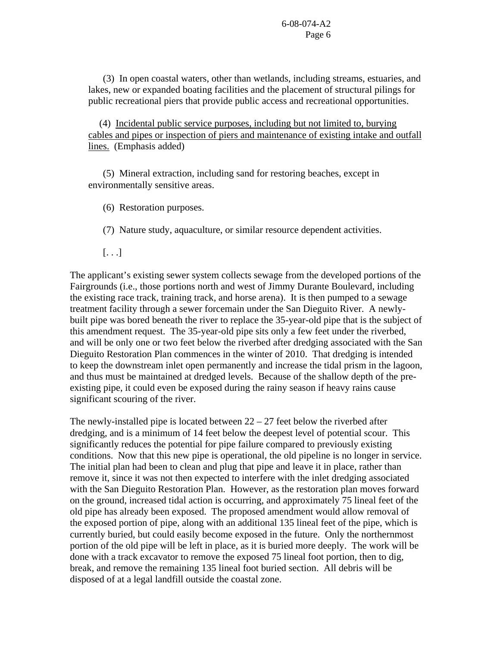(3) In open coastal waters, other than wetlands, including streams, estuaries, and lakes, new or expanded boating facilities and the placement of structural pilings for public recreational piers that provide public access and recreational opportunities.

 (4) Incidental public service purposes, including but not limited to, burying cables and pipes or inspection of piers and maintenance of existing intake and outfall lines. (Emphasis added)

 (5) Mineral extraction, including sand for restoring beaches, except in environmentally sensitive areas.

(6) Restoration purposes.

(7) Nature study, aquaculture, or similar resource dependent activities.

[. . .]

The applicant's existing sewer system collects sewage from the developed portions of the Fairgrounds (i.e., those portions north and west of Jimmy Durante Boulevard, including the existing race track, training track, and horse arena). It is then pumped to a sewage treatment facility through a sewer forcemain under the San Dieguito River. A newlybuilt pipe was bored beneath the river to replace the 35-year-old pipe that is the subject of this amendment request. The 35-year-old pipe sits only a few feet under the riverbed, and will be only one or two feet below the riverbed after dredging associated with the San Dieguito Restoration Plan commences in the winter of 2010. That dredging is intended to keep the downstream inlet open permanently and increase the tidal prism in the lagoon, and thus must be maintained at dredged levels. Because of the shallow depth of the preexisting pipe, it could even be exposed during the rainy season if heavy rains cause significant scouring of the river.

The newly-installed pipe is located between  $22 - 27$  feet below the riverbed after dredging, and is a minimum of 14 feet below the deepest level of potential scour. This significantly reduces the potential for pipe failure compared to previously existing conditions. Now that this new pipe is operational, the old pipeline is no longer in service. The initial plan had been to clean and plug that pipe and leave it in place, rather than remove it, since it was not then expected to interfere with the inlet dredging associated with the San Dieguito Restoration Plan. However, as the restoration plan moves forward on the ground, increased tidal action is occurring, and approximately 75 lineal feet of the old pipe has already been exposed. The proposed amendment would allow removal of the exposed portion of pipe, along with an additional 135 lineal feet of the pipe, which is currently buried, but could easily become exposed in the future. Only the northernmost portion of the old pipe will be left in place, as it is buried more deeply. The work will be done with a track excavator to remove the exposed 75 lineal foot portion, then to dig, break, and remove the remaining 135 lineal foot buried section. All debris will be disposed of at a legal landfill outside the coastal zone.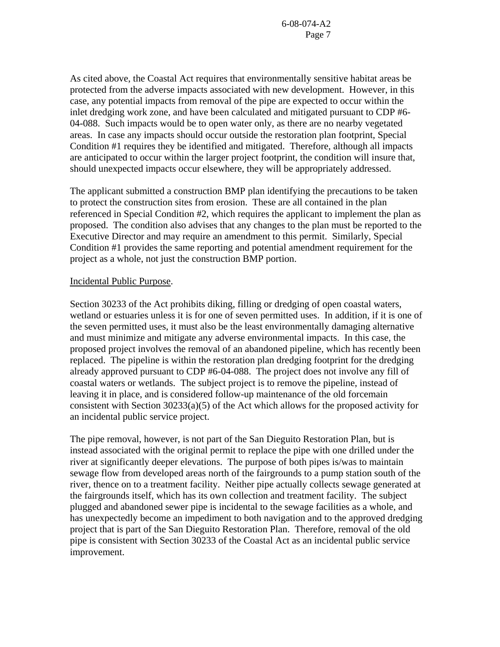As cited above, the Coastal Act requires that environmentally sensitive habitat areas be protected from the adverse impacts associated with new development. However, in this case, any potential impacts from removal of the pipe are expected to occur within the inlet dredging work zone, and have been calculated and mitigated pursuant to CDP #6- 04-088. Such impacts would be to open water only, as there are no nearby vegetated areas. In case any impacts should occur outside the restoration plan footprint, Special Condition #1 requires they be identified and mitigated. Therefore, although all impacts are anticipated to occur within the larger project footprint, the condition will insure that, should unexpected impacts occur elsewhere, they will be appropriately addressed.

The applicant submitted a construction BMP plan identifying the precautions to be taken to protect the construction sites from erosion. These are all contained in the plan referenced in Special Condition #2, which requires the applicant to implement the plan as proposed. The condition also advises that any changes to the plan must be reported to the Executive Director and may require an amendment to this permit. Similarly, Special Condition #1 provides the same reporting and potential amendment requirement for the project as a whole, not just the construction BMP portion.

### Incidental Public Purpose.

Section 30233 of the Act prohibits diking, filling or dredging of open coastal waters, wetland or estuaries unless it is for one of seven permitted uses. In addition, if it is one of the seven permitted uses, it must also be the least environmentally damaging alternative and must minimize and mitigate any adverse environmental impacts. In this case, the proposed project involves the removal of an abandoned pipeline, which has recently been replaced. The pipeline is within the restoration plan dredging footprint for the dredging already approved pursuant to CDP #6-04-088. The project does not involve any fill of coastal waters or wetlands. The subject project is to remove the pipeline, instead of leaving it in place, and is considered follow-up maintenance of the old forcemain consistent with Section 30233(a)(5) of the Act which allows for the proposed activity for an incidental public service project.

The pipe removal, however, is not part of the San Dieguito Restoration Plan, but is instead associated with the original permit to replace the pipe with one drilled under the river at significantly deeper elevations. The purpose of both pipes is/was to maintain sewage flow from developed areas north of the fairgrounds to a pump station south of the river, thence on to a treatment facility. Neither pipe actually collects sewage generated at the fairgrounds itself, which has its own collection and treatment facility. The subject plugged and abandoned sewer pipe is incidental to the sewage facilities as a whole, and has unexpectedly become an impediment to both navigation and to the approved dredging project that is part of the San Dieguito Restoration Plan. Therefore, removal of the old pipe is consistent with Section 30233 of the Coastal Act as an incidental public service improvement.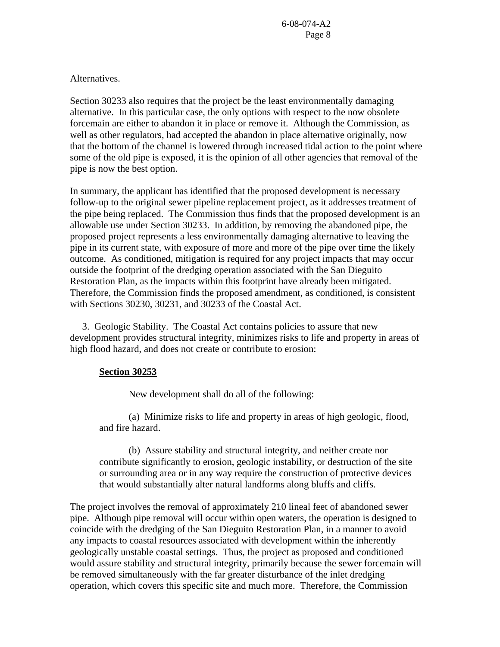## Alternatives.

Section 30233 also requires that the project be the least environmentally damaging alternative. In this particular case, the only options with respect to the now obsolete forcemain are either to abandon it in place or remove it. Although the Commission, as well as other regulators, had accepted the abandon in place alternative originally, now that the bottom of the channel is lowered through increased tidal action to the point where some of the old pipe is exposed, it is the opinion of all other agencies that removal of the pipe is now the best option.

In summary, the applicant has identified that the proposed development is necessary follow-up to the original sewer pipeline replacement project, as it addresses treatment of the pipe being replaced. The Commission thus finds that the proposed development is an allowable use under Section 30233. In addition, by removing the abandoned pipe, the proposed project represents a less environmentally damaging alternative to leaving the pipe in its current state, with exposure of more and more of the pipe over time the likely outcome. As conditioned, mitigation is required for any project impacts that may occur outside the footprint of the dredging operation associated with the San Dieguito Restoration Plan, as the impacts within this footprint have already been mitigated. Therefore, the Commission finds the proposed amendment, as conditioned, is consistent with Sections 30230, 30231, and 30233 of the Coastal Act.

 3. Geologic Stability. The Coastal Act contains policies to assure that new development provides structural integrity, minimizes risks to life and property in areas of high flood hazard, and does not create or contribute to erosion:

## **Section 30253**

New development shall do all of the following:

 (a) Minimize risks to life and property in areas of high geologic, flood, and fire hazard.

 (b) Assure stability and structural integrity, and neither create nor contribute significantly to erosion, geologic instability, or destruction of the site or surrounding area or in any way require the construction of protective devices that would substantially alter natural landforms along bluffs and cliffs.

The project involves the removal of approximately 210 lineal feet of abandoned sewer pipe. Although pipe removal will occur within open waters, the operation is designed to coincide with the dredging of the San Dieguito Restoration Plan, in a manner to avoid any impacts to coastal resources associated with development within the inherently geologically unstable coastal settings. Thus, the project as proposed and conditioned would assure stability and structural integrity, primarily because the sewer forcemain will be removed simultaneously with the far greater disturbance of the inlet dredging operation, which covers this specific site and much more. Therefore, the Commission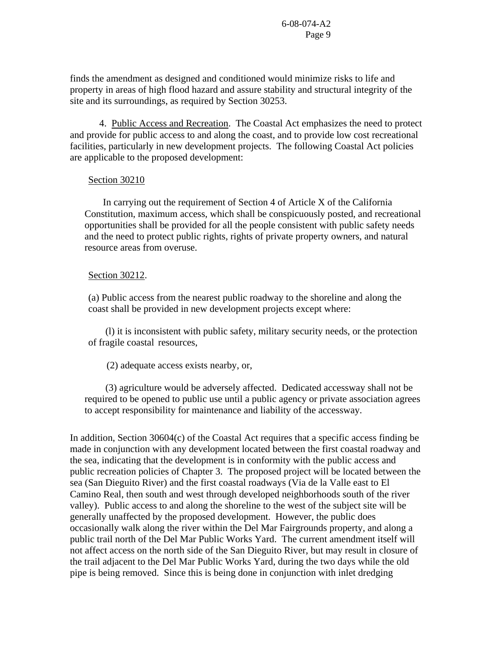finds the amendment as designed and conditioned would minimize risks to life and property in areas of high flood hazard and assure stability and structural integrity of the site and its surroundings, as required by Section 30253.

 4. Public Access and Recreation. The Coastal Act emphasizes the need to protect and provide for public access to and along the coast, and to provide low cost recreational facilities, particularly in new development projects. The following Coastal Act policies are applicable to the proposed development:

## Section 30210

 In carrying out the requirement of Section 4 of Article X of the California Constitution, maximum access, which shall be conspicuously posted, and recreational opportunities shall be provided for all the people consistent with public safety needs and the need to protect public rights, rights of private property owners, and natural resource areas from overuse.

### Section 30212.

(a) Public access from the nearest public roadway to the shoreline and along the coast shall be provided in new development projects except where:

 (l) it is inconsistent with public safety, military security needs, or the protection of fragile coastal resources,

(2) adequate access exists nearby, or,

 (3) agriculture would be adversely affected. Dedicated accessway shall not be required to be opened to public use until a public agency or private association agrees to accept responsibility for maintenance and liability of the accessway.

In addition, Section 30604(c) of the Coastal Act requires that a specific access finding be made in conjunction with any development located between the first coastal roadway and the sea, indicating that the development is in conformity with the public access and public recreation policies of Chapter 3. The proposed project will be located between the sea (San Dieguito River) and the first coastal roadways (Via de la Valle east to El Camino Real, then south and west through developed neighborhoods south of the river valley). Public access to and along the shoreline to the west of the subject site will be generally unaffected by the proposed development. However, the public does occasionally walk along the river within the Del Mar Fairgrounds property, and along a public trail north of the Del Mar Public Works Yard. The current amendment itself will not affect access on the north side of the San Dieguito River, but may result in closure of the trail adjacent to the Del Mar Public Works Yard, during the two days while the old pipe is being removed. Since this is being done in conjunction with inlet dredging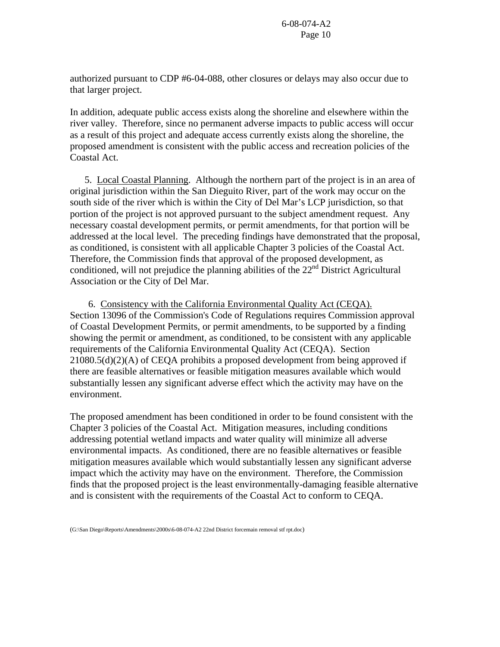authorized pursuant to CDP #6-04-088, other closures or delays may also occur due to that larger project.

In addition, adequate public access exists along the shoreline and elsewhere within the river valley. Therefore, since no permanent adverse impacts to public access will occur as a result of this project and adequate access currently exists along the shoreline, the proposed amendment is consistent with the public access and recreation policies of the Coastal Act.

5. Local Coastal Planning. Although the northern part of the project is in an area of original jurisdiction within the San Dieguito River, part of the work may occur on the south side of the river which is within the City of Del Mar's LCP jurisdiction, so that portion of the project is not approved pursuant to the subject amendment request. Any necessary coastal development permits, or permit amendments, for that portion will be addressed at the local level. The preceding findings have demonstrated that the proposal, as conditioned, is consistent with all applicable Chapter 3 policies of the Coastal Act. Therefore, the Commission finds that approval of the proposed development, as conditioned, will not prejudice the planning abilities of the  $22<sup>nd</sup>$  District Agricultural Association or the City of Del Mar.

 6. Consistency with the California Environmental Quality Act (CEQA). Section 13096 of the Commission's Code of Regulations requires Commission approval of Coastal Development Permits, or permit amendments, to be supported by a finding showing the permit or amendment, as conditioned, to be consistent with any applicable requirements of the California Environmental Quality Act (CEQA). Section 21080.5(d)(2)(A) of CEQA prohibits a proposed development from being approved if there are feasible alternatives or feasible mitigation measures available which would substantially lessen any significant adverse effect which the activity may have on the environment.

The proposed amendment has been conditioned in order to be found consistent with the Chapter 3 policies of the Coastal Act. Mitigation measures, including conditions addressing potential wetland impacts and water quality will minimize all adverse environmental impacts. As conditioned, there are no feasible alternatives or feasible mitigation measures available which would substantially lessen any significant adverse impact which the activity may have on the environment. Therefore, the Commission finds that the proposed project is the least environmentally-damaging feasible alternative and is consistent with the requirements of the Coastal Act to conform to CEQA.

<sup>(</sup>G:\San Diego\Reports\Amendments\2000s\6-08-074-A2 22nd District forcemain removal stf rpt.doc)